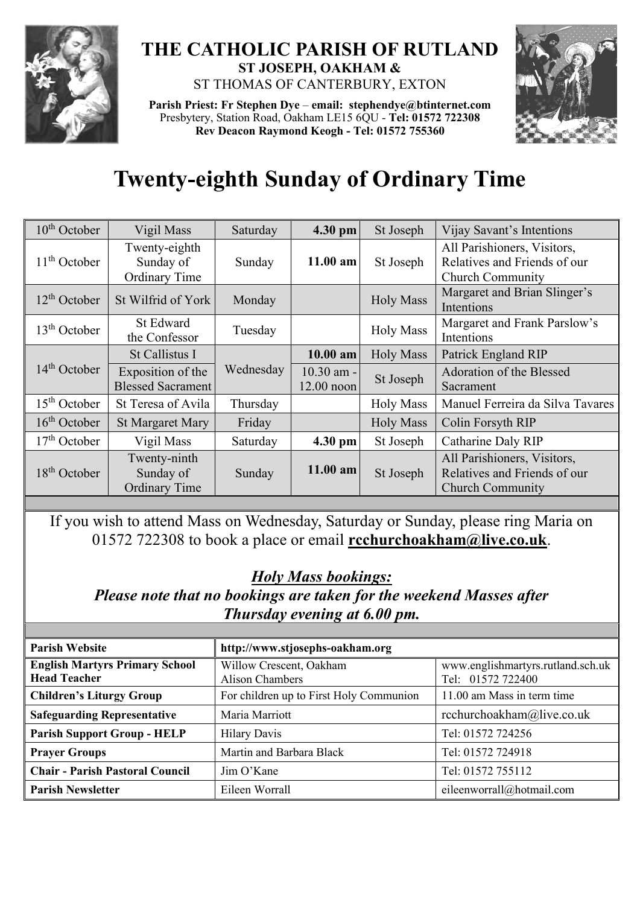

## **THE CATHOLIC PARISH OF RUTLAND ST JOSEPH, OAKHAM &**  ST THOMAS OF CANTERBURY, EXTON

**Parish Priest: Fr Stephen Dye** – **[email: stephendye@btinternet.com](mailto:email:%20%20stephendye@btinternet.com)** Presbytery, Station Road, Oakham LE15 6QU - **Tel: 01572 722308 Rev Deacon Raymond Keogh - Tel: 01572 755360**



## **Twenty-eighth Sunday of Ordinary Time**

| $10th$ October | Vigil Mass                                         | Saturday  | 4.30 pm                      | St Joseph        | Vijay Savant's Intentions                                                              |
|----------------|----------------------------------------------------|-----------|------------------------------|------------------|----------------------------------------------------------------------------------------|
| $11th$ October | Twenty-eighth<br>Sunday of<br><b>Ordinary Time</b> | Sunday    | $11.00$ am                   | St Joseph        | All Parishioners, Visitors,<br>Relatives and Friends of our<br><b>Church Community</b> |
| $12th$ October | St Wilfrid of York                                 | Monday    |                              | <b>Holy Mass</b> | Margaret and Brian Slinger's<br>Intentions                                             |
| $13th$ October | St Edward<br>the Confessor                         | Tuesday   |                              | <b>Holy Mass</b> | Margaret and Frank Parslow's<br>Intentions                                             |
| $14th$ October | St Callistus I                                     | Wednesday | 10.00 am                     | <b>Holy Mass</b> | Patrick England RIP                                                                    |
|                | Exposition of the<br><b>Blessed Sacrament</b>      |           | $10.30$ am -<br>$12.00$ noon | St Joseph        | Adoration of the Blessed<br>Sacrament                                                  |
| $15th$ October | St Teresa of Avila                                 | Thursday  |                              | <b>Holy Mass</b> | Manuel Ferreira da Silva Tavares                                                       |
| $16th$ October | <b>St Margaret Mary</b>                            | Friday    |                              | <b>Holy Mass</b> | Colin Forsyth RIP                                                                      |
| $17th$ October | Vigil Mass                                         | Saturday  | 4.30 pm                      | St Joseph        | Catharine Daly RIP                                                                     |
| $18th$ October | Twenty-ninth<br>Sunday of<br><b>Ordinary Time</b>  | Sunday    | $11.00$ am                   | St Joseph        | All Parishioners, Visitors,<br>Relatives and Friends of our<br><b>Church Community</b> |

If you wish to attend Mass on Wednesday, Saturday or Sunday, please ring Maria on 01572 722308 to book a place or email **[rcchurchoakham@live.co.uk](mailto:rcchurchoakham@live.co.uk)**.

## *Holy Mass bookings:*

*Please note that no bookings are taken for the weekend Masses after Thursday evening at 6.00 pm.*

| <b>Parish Website</b>                                        | http://www.stjosephs-oakham.org            |                                                        |  |
|--------------------------------------------------------------|--------------------------------------------|--------------------------------------------------------|--|
| <b>English Martyrs Primary School</b><br><b>Head Teacher</b> | Willow Crescent, Oakham<br>Alison Chambers | www.englishmartyrs.rutland.sch.uk<br>Tel: 01572 722400 |  |
| <b>Children's Liturgy Group</b>                              | For children up to First Holy Communion    | 11.00 am Mass in term time                             |  |
| <b>Safeguarding Representative</b>                           | Maria Marriott                             | rcchurchoakham@live.co.uk                              |  |
| <b>Parish Support Group - HELP</b>                           | <b>Hilary Davis</b>                        | Tel: 01572 724256                                      |  |
| Prayer Groups                                                | Martin and Barbara Black                   | Tel: 01572 724918                                      |  |
| <b>Chair - Parish Pastoral Council</b>                       | Jim O'Kane                                 | Tel: 01572 755112                                      |  |
| Parish Newsletter                                            | Eileen Worrall                             | eileenworrall@hotmail.com                              |  |